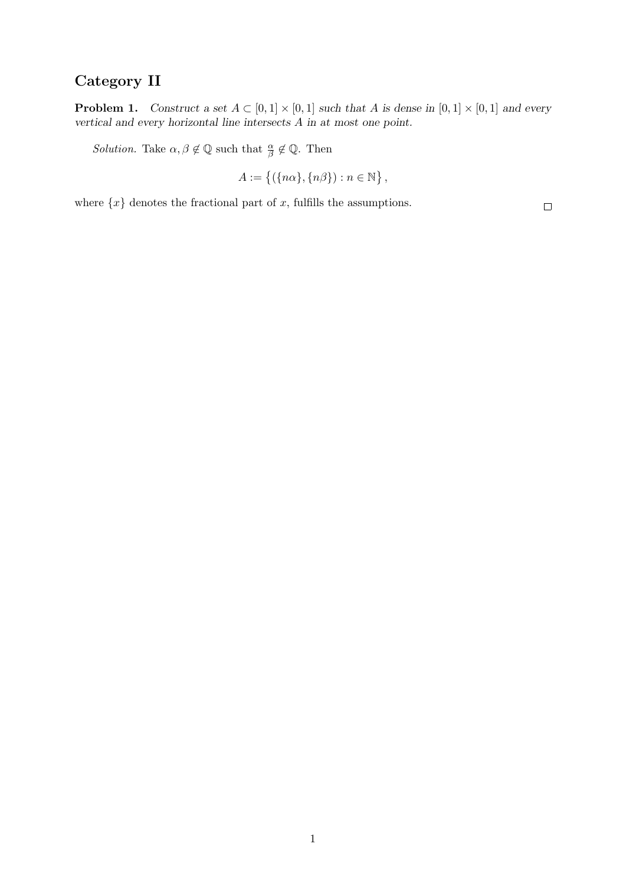## Category II

**Problem 1.** Construct a set  $A \subset [0,1] \times [0,1]$  such that A is dense in  $[0,1] \times [0,1]$  and every vertical and every horizontal line intersects A in at most one point.

*Solution*. Take  $\alpha, \beta \notin \mathbb{Q}$  such that  $\frac{\alpha}{\beta} \notin \mathbb{Q}$ . Then

$$
A := \{ (\{ n\alpha \}, \{ n\beta \}) : n \in \mathbb{N} \},
$$

where  $\{x\}$  denotes the fractional part of x, fulfills the assumptions.

 $\Box$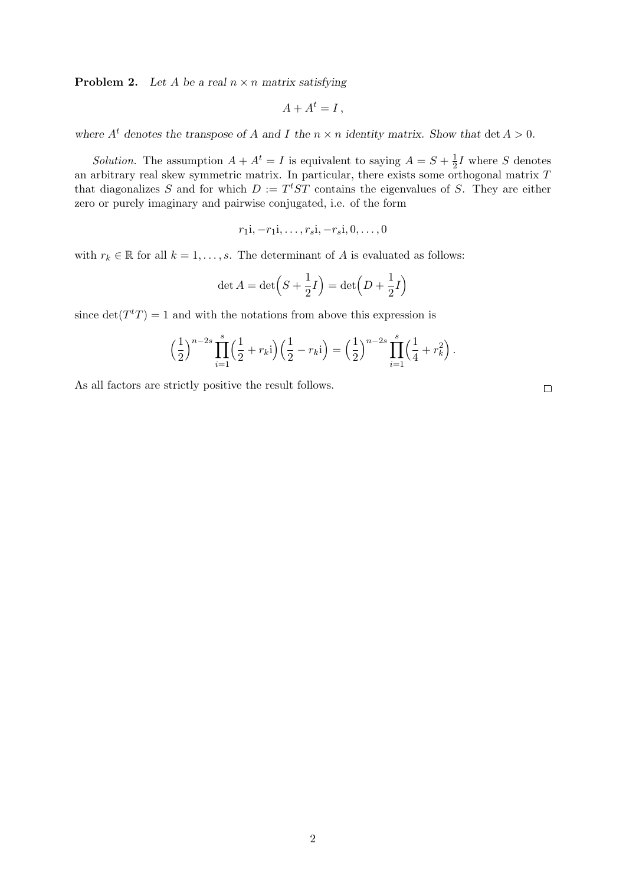**Problem 2.** Let A be a real  $n \times n$  matrix satisfying

$$
A + A^t = I \,,
$$

where  $A<sup>t</sup>$  denotes the transpose of A and I the  $n \times n$  identity matrix. Show that det  $A > 0$ .

*Solution*. The assumption  $A + A^t = I$  is equivalent to saying  $A = S + \frac{1}{2}$  $\frac{1}{2}I$  where S denotes an arbitrary real skew symmetric matrix. In particular, there exists some orthogonal matrix T that diagonalizes S and for which  $D := T^t ST$  contains the eigenvalues of S. They are either zero or purely imaginary and pairwise conjugated, i.e. of the form

$$
r_1i, -r_1i, \ldots, r_s i, -r_s i, 0, \ldots, 0
$$

with  $r_k \in \mathbb{R}$  for all  $k = 1, \ldots, s$ . The determinant of A is evaluated as follows:

$$
\det A = \det \left( S + \frac{1}{2}I \right) = \det \left( D + \frac{1}{2}I \right)
$$

since  $\det(T^tT) = 1$  and with the notations from above this expression is

$$
\left(\frac{1}{2}\right)^{n-2s} \prod_{i=1}^{s} \left(\frac{1}{2} + r_{k}i\right) \left(\frac{1}{2} - r_{k}i\right) = \left(\frac{1}{2}\right)^{n-2s} \prod_{i=1}^{s} \left(\frac{1}{4} + r_{k}^{2}\right).
$$

As all factors are strictly positive the result follows.

 $\Box$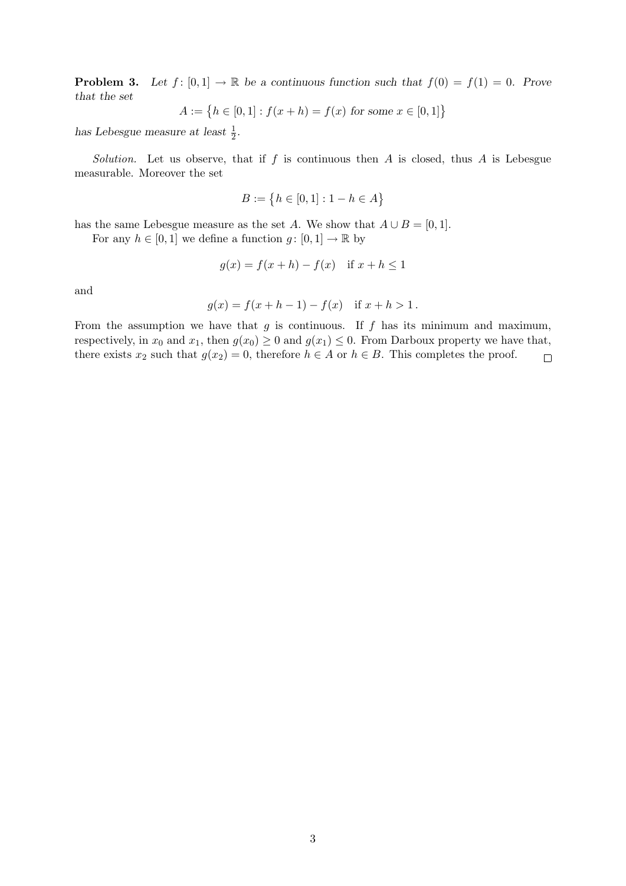**Problem 3.** Let  $f: [0,1] \to \mathbb{R}$  be a continuous function such that  $f(0) = f(1) = 0$ . Prove that the set

$$
A := \{ h \in [0, 1] : f(x + h) = f(x) \text{ for some } x \in [0, 1] \}
$$

has Lebesgue measure at least  $\frac{1}{2}$ .

Solution. Let us observe, that if f is continuous then A is closed, thus A is Lebesgue measurable. Moreover the set

$$
B := \{ h \in [0, 1] : 1 - h \in A \}
$$

has the same Lebesgue measure as the set A. We show that  $A \cup B = [0, 1]$ .

For any  $h \in [0, 1]$  we define a function  $g: [0, 1] \to \mathbb{R}$  by

$$
g(x) = f(x+h) - f(x) \quad \text{if } x + h \le 1
$$

and

$$
g(x) = f(x + h - 1) - f(x) \text{ if } x + h > 1.
$$

From the assumption we have that  $g$  is continuous. If  $f$  has its minimum and maximum, respectively, in  $x_0$  and  $x_1$ , then  $g(x_0) \ge 0$  and  $g(x_1) \le 0$ . From Darboux property we have that, there exists  $x_2$  such that  $g(x_2) = 0$ , therefore  $h \in A$  or  $h \in B$ . This completes the proof.  $\Box$